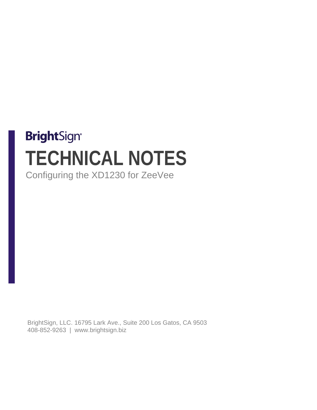## **BrightSign® TECHNICAL NOTES** Configuring the XD1230 for ZeeVee

BrightSign, LLC. 16795 Lark Ave., Suite 200 Los Gatos, CA 9503 408-852-9263 | www.brightsign.biz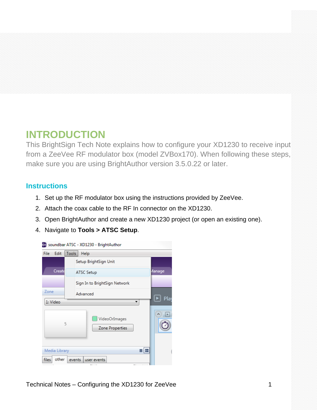## **INTRODUCTION**

This BrightSign Tech Note explains how to configure your XD1230 to receive input from a ZeeVee RF modulator box (model ZVBox170). When following these steps, make sure you are using BrightAuthor version 3.5.0.22 or later.

## **Instructions**

- 1. Set up the RF modulator box using the instructions provided by ZeeVee.
- 2. Attach the coax cable to the RF In connector on the XD1230.
- 3. Open BrightAuthor and create a new XD1230 project (or open an existing one).
- 4. Navigate to **Tools > ATSC Setup**.

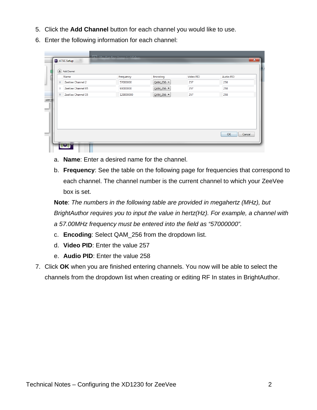- 5. Click the **Add Channel** button for each channel you would like to use.
- 6. Enter the following information for each channel:

|              | $+)$ Add Channel  |           |           |           |           |
|--------------|-------------------|-----------|-----------|-----------|-----------|
|              | Name              | Frequency | Encoding  | Video PID | Audio PID |
| $\mathbf x$  | ZeeVee Channel 2  | 57000000  | QAM_256 - | 257       | 258       |
| x            | ZeeVee Channel 95 | 93000000  | QAM_256 - | 257       | 258       |
| $\mathbf{x}$ | ZeeVee Channel 15 | 129000000 | QAM_256 \ | 257       | 258       |
|              |                   |           |           |           |           |

- a. **Name**: Enter a desired name for the channel.
- b. **Frequency**: See the table on the following page for frequencies that correspond to each channel. The channel number is the current channel to which your ZeeVee box is set.

**Note**: *The numbers in the following table are provided in megahertz (MHz), but BrightAuthor requires you to input the value in hertz(Hz). For example, a channel with a 57.00MHz frequency must be entered into the field as "57000000".*

- c. **Encoding**: Select QAM\_256 from the dropdown list.
- d. **Video PID**: Enter the value 257
- e. **Audio PID**: Enter the value 258
- 7. Click **OK** when you are finished entering channels. You now will be able to select the channels from the dropdown list when creating or editing RF In states in BrightAuthor.